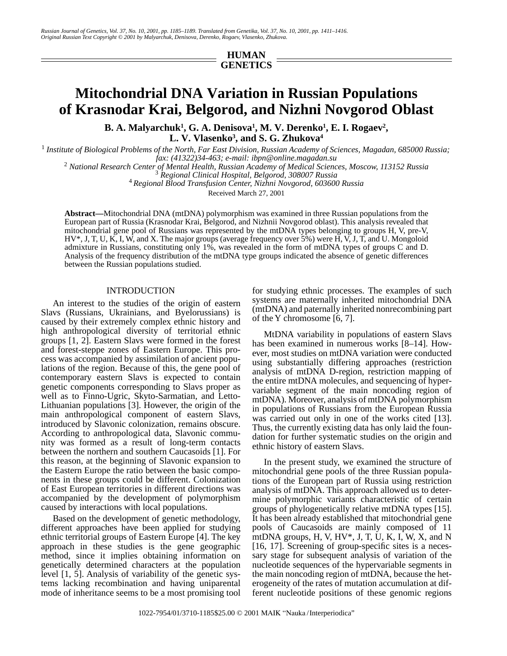## **HUMAN GENETICS**

# **Mitochondrial DNA Variation in Russian Populations of Krasnodar Krai, Belgorod, and Nizhni Novgorod Oblast**

**B. A. Malyarchuk<sup>1</sup>, G. A. Denisova<sup>1</sup>, M. V. Derenko<sup>1</sup>, E. I. Rogaev<sup>2</sup>, L. V. Vlasenko3 , and S. G. Zhukova4**

1  *Institute of Biological Problems of the North, Far East Division, Russian Academy of Sciences, Magadan, 685000 Russia;* 

*fax: (41322)34-463; e-mail: ibpn@online.magadan.su* <sup>2</sup>  *National Research Center of Mental Health, Russian Academy of Medical Sciences, Moscow, 113152 Russia* <sup>3</sup>

 *Regional Clinical Hospital, Belgorod, 308007 Russia* <sup>4</sup>*Regional Blood Transfusion Center, Nizhni Novgorod, 603600 Russia*

Received March 27, 2001

**Abstract—**Mitochondrial DNA (mtDNA) polymorphism was examined in three Russian populations from the European part of Russia (Krasnodar Krai, Belgorod, and Nizhnii Novgorod oblast). This analysis revealed that mitochondrial gene pool of Russians was represented by the mtDNA types belonging to groups H, V, pre-V, HV\*, J, T, U, K, I, W, and X. The major groups (average frequency over 5%) were H, V, J, T, and U. Mongoloid admixture in Russians, constituting only 1%, was revealed in the form of mtDNA types of groups C and D. Analysis of the frequency distribution of the mtDNA type groups indicated the absence of genetic differences between the Russian populations studied.

#### INTRODUCTION

An interest to the studies of the origin of eastern Slavs (Russians, Ukrainians, and Byelorussians) is caused by their extremely complex ethnic history and high anthropological diversity of territorial ethnic groups [1, 2]. Eastern Slavs were formed in the forest and forest-steppe zones of Eastern Europe. This process was accompanied by assimilation of ancient populations of the region. Because of this, the gene pool of contemporary eastern Slavs is expected to contain genetic components corresponding to Slavs proper as well as to Finno-Ugric, Skyto-Sarmatian, and Letto-Lithuanian populations [3]. However, the origin of the main anthropological component of eastern Slavs, introduced by Slavonic colonization, remains obscure. According to anthropological data, Slavonic community was formed as a result of long-term contacts between the northern and southern Caucasoids [1]. For this reason, at the beginning of Slavonic expansion to the Eastern Europe the ratio between the basic components in these groups could be different. Colonization of East European territories in different directions was accompanied by the development of polymorphism caused by interactions with local populations.

Based on the development of genetic methodology, different approaches have been applied for studying ethnic territorial groups of Eastern Europe [4]. The key approach in these studies is the gene geographic method, since it implies obtaining information on genetically determined characters at the population level [1, 5]. Analysis of variability of the genetic systems lacking recombination and having uniparental mode of inheritance seems to be a most promising tool for studying ethnic processes. The examples of such systems are maternally inherited mitochondrial DNA (mtDNA) and paternally inherited nonrecombining part of the Y chromosome [6, 7].

MtDNA variability in populations of eastern Slavs has been examined in numerous works [8–14]. However, most studies on mtDNA variation were conducted using substantially differing approaches (restriction analysis of mtDNA D-region, restriction mapping of the entire mtDNA molecules, and sequencing of hypervariable segment of the main noncoding region of mtDNA). Moreover, analysis of mtDNA polymorphism in populations of Russians from the European Russia was carried out only in one of the works cited [13]. Thus, the currently existing data has only laid the foundation for further systematic studies on the origin and ethnic history of eastern Slavs.

In the present study, we examined the structure of mitochondrial gene pools of the three Russian populations of the European part of Russia using restriction analysis of mtDNA. This approach allowed us to determine polymorphic variants characteristic of certain groups of phylogenetically relative mtDNA types [15]. It has been already established that mitochondrial gene pools of Caucasoids are mainly composed of 11 mtDNA groups, H, V,  $HV^*$ , J, T, U, K, I, W, X, and N [16, 17]. Screening of group-specific sites is a necessary stage for subsequent analysis of variation of the nucleotide sequences of the hypervariable segments in the main noncoding region of mtDNA, because the heterogeneity of the rates of mutation accumulation at different nucleotide positions of these genomic regions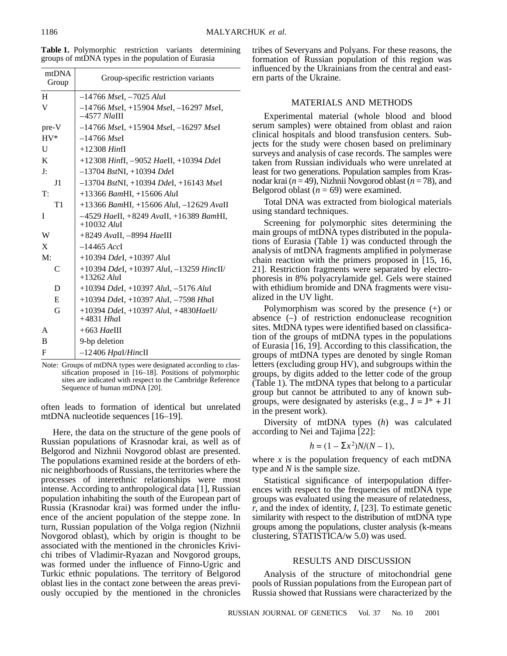| mtDNA<br>Group | Group-specific restriction variants                            |
|----------------|----------------------------------------------------------------|
| H              | $-14766$ MseI, $-7025$ AluI                                    |
| V              | $-14766$ MseI, $+15904$ MseI, $-16297$ MseI,<br>$-4577$ NlaIII |
|                |                                                                |
| pre-V          | –14766 MseI, +15904 MseI, –16297 MseI                          |
| $HV^*$         | $-14766$ MseI                                                  |
| U              | $+12308$ Hinfl                                                 |
| K              | +12308 HinfI, -9052 HaeII, +10394 DdeI                         |
| J:             | $-13704$ BstNI, +10394 DdeI                                    |
| J1             | $-13704$ BstNI, $+10394$ DdeI, $+16143$ MseI                   |
| T:             | $+13366$ BamHI, $+15606$ AluI                                  |
| T1             | $+13366$ BamHI, $+15606$ AluI, $-12629$ AvaII                  |
| T              | -4529 HaeII, +8249 AvaII, +16389 BamHI,<br>$+10032$ AluI       |
|                |                                                                |
| W              | +8249 AvaII, -8994 HaeIII                                      |
| X              | $-14465$ AccI                                                  |
| M:             | $+10394$ Ddel, $+10397$ AluI                                   |
| C              | $+10394$ DdeI, $+10397$ AluI, $-13259$ HincII/                 |
|                | $+13262$ AluI                                                  |
| D              | $+10394$ Ddel, $+10397$ AluI, $-5176$ AluI                     |
| E              | $+10394$ Ddel, $+10397$ AluI, $-7598$ Hhal                     |
| G              | $+10394$ DdeI, $+10397$ AluI, $+4830$ HaeII/<br>$+4831$ Hhal   |
| A              | $+663$ HaeIII                                                  |
| B              | 9-bp deletion                                                  |
| F              | $-12406$ Hpal/HincII                                           |

**Table 1.** Polymorphic restriction variants determining groups of mtDNA types in the population of Eurasia

Note: Groups of mtDNA types were designated according to classification proposed in [16–18]. Positions of polymorphic sites are indicated with respect to the Cambridge Reference Sequence of human mtDNA [20].

often leads to formation of identical but unrelated mtDNA nucleotide sequences [16–19].

Here, the data on the structure of the gene pools of Russian populations of Krasnodar krai, as well as of Belgorod and Nizhnii Novgorod oblast are presented. The populations examined reside at the borders of ethnic neighborhoods of Russians, the territories where the processes of interethnic relationships were most intense. According to anthropological data [1], Russian population inhabiting the south of the European part of Russia (Krasnodar krai) was formed under the influence of the ancient population of the steppe zone. In turn, Russian population of the Volga region (Nizhnii Novgorod oblast), which by origin is thought to be associated with the mentioned in the chronicles Krivichi tribes of Vladimir-Ryazan and Novgorod groups, was formed under the influence of Finno-Ugric and Turkic ethnic populations. The territory of Belgorod oblast lies in the contact zone between the areas previously occupied by the mentioned in the chronicles tribes of Severyans and Polyans. For these reasons, the formation of Russian population of this region was influenced by the Ukrainians from the central and eastern parts of the Ukraine.

#### MATERIALS AND METHODS

Experimental material (whole blood and blood serum samples) were obtained from oblast and raion clinical hospitals and blood transfusion centers. Subjects for the study were chosen based on preliminary surveys and analysis of case records. The samples were taken from Russian individuals who were unrelated at least for two generations. Population samples from Krasnodar krai (*n* = 49), Nizhnii Novgorod oblast (*n* = 78), and Belgorod oblast  $(n = 69)$  were examined.

Total DNA was extracted from biological materials using standard techniques.

Screening for polymorphic sites determining the main groups of mtDNA types distributed in the populations of Eurasia (Table 1) was conducted through the analysis of mtDNA fragments amplified in polymerase chain reaction with the primers proposed in [15, 16, 21]. Restriction fragments were separated by electrophoresis in 8% polyacrylamide gel. Gels were stained with ethidium bromide and DNA fragments were visualized in the UV light.

Polymorphism was scored by the presence (+) or absence (–) of restriction endonuclease recognition sites. MtDNA types were identified based on classification of the groups of mtDNA types in the populations of Eurasia [16, 19]. According to this classification, the groups of mtDNA types are denoted by single Roman letters (excluding group HV), and subgroups within the groups, by digits added to the letter code of the group (Table 1). The mtDNA types that belong to a particular group but cannot be attributed to any of known subgroups, were designated by asterisks (e.g.,  $J = J^* + J1$ in the present work).

Diversity of mtDNA types (*h*) was calculated according to Nei and Tajima [22]:

$$
h = (1 - \Sigma x^2)N/(N - 1),
$$

where  $x$  is the population frequency of each mtDNA type and *N* is the sample size.

Statistical significance of interpopulation differences with respect to the frequencies of mtDNA type groups was evaluated using the measure of relatedness, *r*, and the index of identity, *I,* [23]. To estimate genetic similarity with respect to the distribution of mtDNA type groups among the populations, cluster analysis (k-means clustering, STATISTICA/w 5.0) was used.

### RESULTS AND DISCUSSION

Analysis of the structure of mitochondrial gene pools of Russian populations from the European part of Russia showed that Russians were characterized by the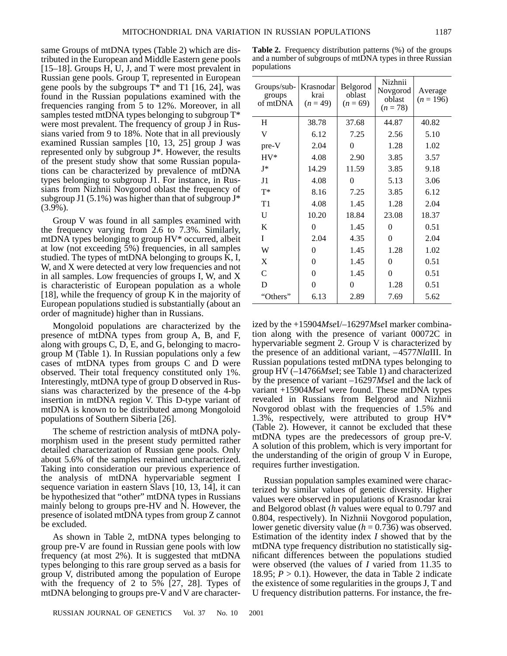same Groups of mtDNA types (Table 2) which are distributed in the European and Middle Eastern gene pools [15–18]. Groups H, U, J, and T were most prevalent in Russian gene pools. Group T, represented in European gene pools by the subgroups  $T^*$  and T1 [16, 24], was found in the Russian populations examined with the frequencies ranging from 5 to 12%. Moreover, in all samples tested mtDNA types belonging to subgroup T\* were most prevalent. The frequency of group J in Russians varied from 9 to 18%. Note that in all previously examined Russian samples [10, 13, 25] group J was represented only by subgroup J\*. However, the results of the present study show that some Russian populations can be characterized by prevalence of mtDNA types belonging to subgroup J1. For instance, in Russians from Nizhnii Novgorod oblast the frequency of subgroup J1 (5.1%) was higher than that of subgroup  $J^*$  $(3.9\%)$ .

Group V was found in all samples examined with the frequency varying from 2.6 to 7.3%. Similarly, mtDNA types belonging to group HV\* occurred, albeit at low (not exceeding 5%) frequencies, in all samples studied. The types of mtDNA belonging to groups K, I, W, and X were detected at very low frequencies and not in all samples. Low frequencies of groups I, W, and X is characteristic of European population as a whole [18], while the frequency of group K in the majority of European populations studied is substantially (about an order of magnitude) higher than in Russians.

Mongoloid populations are characterized by the presence of mtDNA types from group A, B, and F, along with groups  $C, D, E$ , and  $G$ , belonging to macrogroup M (Table 1). In Russian populations only a few cases of mtDNA types from groups C and D were observed. Their total frequency constituted only 1%. Interestingly, mtDNA type of group D observed in Russians was characterized by the presence of the 4-bp insertion in mtDNA region V. This D-type variant of mtDNA is known to be distributed among Mongoloid populations of Southern Siberia [26].

The scheme of restriction analysis of mtDNA polymorphism used in the present study permitted rather detailed characterization of Russian gene pools. Only about 5.6% of the samples remained uncharacterized. Taking into consideration our previous experience of the analysis of mtDNA hypervariable segment I sequence variation in eastern Slavs [10, 13, 14], it can be hypothesized that "other" mtDNA types in Russians mainly belong to groups pre-HV and N. However, the presence of isolated mtDNA types from group Z cannot be excluded.

As shown in Table 2, mtDNA types belonging to group pre-V are found in Russian gene pools with low frequency (at most 2%). It is suggested that mtDNA types belonging to this rare group served as a basis for group V, distributed among the population of Europe with the frequency of 2 to 5% [27, 28]. Types of mtDNA belonging to groups pre-V and V are character-

**Table 2.** Frequency distribution patterns (%) of the groups and a number of subgroups of mtDNA types in three Russian populations

| Groups/sub-<br>groups<br>of mtDNA | Krasnodar<br>krai<br>$(n = 49)$ | Belgorod<br>oblast<br>$(n = 69)$ | Nizhnii<br>Novgorod<br>oblast<br>$(n = 78)$ | Average<br>$(n = 196)$ |
|-----------------------------------|---------------------------------|----------------------------------|---------------------------------------------|------------------------|
| H                                 | 38.78                           | 37.68                            | 44.87                                       | 40.82                  |
| V                                 | 6.12                            | 7.25                             | 2.56                                        | 5.10                   |
| pre-V                             | 2.04                            | 0                                | 1.28                                        | 1.02                   |
| $HV^*$                            | 4.08                            | 2.90                             | 3.85                                        | 3.57                   |
| $I^*$                             | 14.29                           | 11.59                            | 3.85                                        | 9.18                   |
| J1                                | 4.08                            | $\Omega$                         | 5.13                                        | 3.06                   |
| $T^*$                             | 8.16                            | 7.25                             | 3.85                                        | 6.12                   |
| T1                                | 4.08                            | 1.45                             | 1.28                                        | 2.04                   |
| U                                 | 10.20                           | 18.84                            | 23.08                                       | 18.37                  |
| K                                 | 0                               | 1.45                             | 0                                           | 0.51                   |
| I                                 | 2.04                            | 4.35                             | 0                                           | 2.04                   |
| W                                 | 0                               | 1.45                             | 1.28                                        | 1.02                   |
| X                                 | 0                               | 1.45                             | 0                                           | 0.51                   |
| C                                 | 0                               | 1.45                             | 0                                           | 0.51                   |
| D                                 | 0                               | 0                                | 1.28                                        | 0.51                   |
| "Others"                          | 6.13                            | 2.89                             | 7.69                                        | 5.62                   |

ized by the +15904*Mse*I/–16297*Mse*I marker combination along with the presence of variant 00072C in hypervariable segment 2. Group V is characterized by the presence of an additional variant, –4577*Nla*III. In Russian populations tested mtDNA types belonging to group HV (–14766*Mse*I; see Table 1) and characterized by the presence of variant –16297*Mse*I and the lack of variant +15904*Mse*I were found. These mtDNA types revealed in Russians from Belgorod and Nizhnii Novgorod oblast with the frequencies of 1.5% and 1.3%, respectively, were attributed to group HV\* (Table 2). However, it cannot be excluded that these mtDNA types are the predecessors of group pre-V. A solution of this problem, which is very important for the understanding of the origin of group V in Europe, requires further investigation.

Russian population samples examined were characterized by similar values of genetic diversity. Higher values were observed in populations of Krasnodar krai and Belgorod oblast (*h* values were equal to 0.797 and 0.804, respectively). In Nizhnii Novgorod population, lower genetic diversity value (*h* = 0.736) was observed. Estimation of the identity index *I* showed that by the mtDNA type frequency distribution no statistically significant differences between the populations studied were observed (the values of *I* varied from 11.35 to 18.95;  $P > 0.1$ ). However, the data in Table 2 indicate the existence of some regularities in the groups J, T and U frequency distribution patterns. For instance, the fre-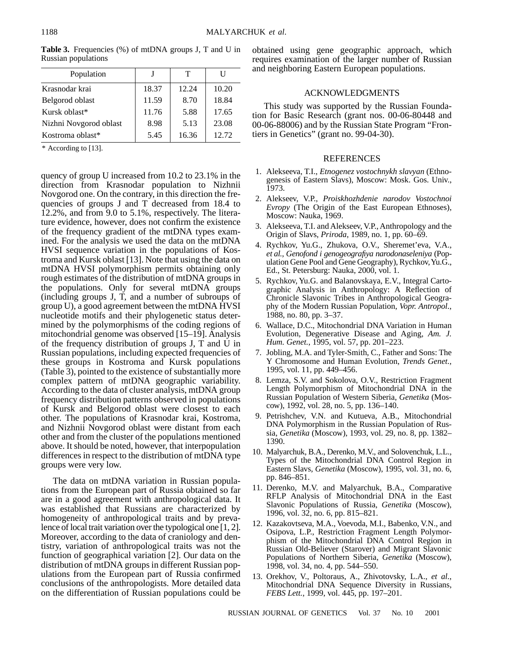| Population             |       | т     | H     |
|------------------------|-------|-------|-------|
| Krasnodar krai         | 18.37 | 12.24 | 10.20 |
| Belgorod oblast        | 11.59 | 8.70  | 18.84 |
| Kursk oblast*          | 11.76 | 5.88  | 17.65 |
| Nizhni Novgorod oblast | 8.98  | 5.13  | 23.08 |
| Kostroma oblast*       | 5.45  | 16.36 | 12.72 |

**Table 3.** Frequencies (%) of mtDNA groups J, T and U in Russian populations

\* According to [13].

quency of group U increased from 10.2 to 23.1% in the direction from Krasnodar population to Nizhnii Novgorod one. On the contrary, in this direction the frequencies of groups J and T decreased from 18.4 to 12.2%, and from 9.0 to 5.1%, respectively. The literature evidence, however, does not confirm the existence of the frequency gradient of the mtDNA types examined. For the analysis we used the data on the mtDNA HVSI sequence variation in the populations of Kostroma and Kursk oblast [13]. Note that using the data on mtDNA HVSI polymorphism permits obtaining only rough estimates of the distribution of mtDNA groups in the populations. Only for several mtDNA groups (including groups J, T, and a number of subroups of group U), a good agreement between the mtDNA HVSI nucleotide motifs and their phylogenetic status determined by the polymorphisms of the coding regions of mitochondrial genome was observed [15–19]. Analysis of the frequency distribution of groups J, T and U in Russian populations, including expected frequencies of these groups in Kostroma and Kursk populations (Table 3), pointed to the existence of substantially more complex pattern of mtDNA geographic variability. According to the data of cluster analysis, mtDNA group frequency distribution patterns observed in populations of Kursk and Belgorod oblast were closest to each other. The populations of Krasnodar krai, Kostroma, and Nizhnii Novgorod oblast were distant from each other and from the cluster of the populations mentioned above. It should be noted, however, that interpopulation differences in respect to the distribution of mtDNA type groups were very low.

The data on mtDNA variation in Russian populations from the European part of Russia obtained so far are in a good agreement with anthropological data. It was established that Russians are characterized by homogeneity of anthropological traits and by prevalence of local trait variation over the typological one [1, 2]. Moreover, according to the data of craniology and dentistry, variation of anthropological traits was not the function of geographical variation [2]. Our data on the distribution of mtDNA groups in different Russian populations from the European part of Russia confirmed conclusions of the anthropologists. More detailed data on the differentiation of Russian populations could be obtained using gene geographic approach, which requires examination of the larger number of Russian and neighboring Eastern European populations.

#### ACKNOWLEDGMENTS

This study was supported by the Russian Foundation for Basic Research (grant nos. 00-06-80448 and 00-06-88006) and by the Russian State Program "Frontiers in Genetics" (grant no. 99-04-30).

#### REFERENCES

- 1. Alekseeva, T.I., *Etnogenez vostochnykh slavyan* (Ethnogenesis of Eastern Slavs), Moscow: Mosk. Gos. Univ., 1973.
- 2. Alekseev, V.P., *Proiskhozhdenie narodov Vostochnoi Evropy* (The Origin of the East European Ethnoses), Moscow: Nauka, 1969.
- 3. Alekseeva, T.I. and Alekseev, V.P., Anthropology and the Origin of Slavs, *Priroda*, 1989, no. 1, pp. 60–69.
- 4. Rychkov, Yu.G., Zhukova, O.V., Sheremet'eva, V.A., *et al.*, *Genofond i genogeografiya narodonaseleniya* (Population Gene Pool and Gene Geography), Rychkov, Yu.G., Ed., St. Petersburg: Nauka, 2000, vol. 1.
- 5. Rychkov, Yu.G. and Balanovskaya, E.V., Integral Cartographic Analysis in Anthropology: A Reflection of Chronicle Slavonic Tribes in Anthropological Geography of the Modern Russian Population, *Vopr. Antropol.*, 1988, no. 80, pp. 3–37.
- 6. Wallace, D.C., Mitochondrial DNA Variation in Human Evolution, Degenerative Disease and Aging, *Am. J. Hum. Genet.*, 1995, vol. 57, pp. 201–223.
- 7. Jobling, M.A. and Tyler-Smith, C., Father and Sons: The Y Chromosome and Human Evolution, *Trends Genet.,* 1995, vol. 11, pp. 449–456.
- 8. Lemza, S.V. and Sokolova, O.V., Restriction Fragment Length Polymorphism of Mitochondrial DNA in the Russian Population of Western Siberia, *Genetika* (Moscow), 1992, vol. 28, no. 5, pp. 136–140.
- 9. Petrishchev, V.N. and Kutueva, A.B., Mitochondrial DNA Polymorphism in the Russian Population of Russia, *Genetika* (Moscow), 1993, vol. 29, no. 8, pp. 1382– 1390.
- 10. Malyarchuk, B.A., Derenko, M.V., and Solovenchuk, L.L., Types of the Mitochondrial DNA Control Region in Eastern Slavs, *Genetika* (Moscow), 1995, vol. 31, no. 6, pp. 846–851.
- 11. Derenko, M.V. and Malyarchuk, B.A., Comparative RFLP Analysis of Mitochondrial DNA in the East Slavonic Populations of Russia, *Genetika* (Moscow), 1996, vol. 32, no. 6, pp. 815–821.
- 12. Kazakovtseva, M.A., Voevoda, M.I., Babenko, V.N., and Osipova, L.P., Restriction Fragment Length Polymorphism of the Mitochondrial DNA Control Region in Russian Old-Believer (Starover) and Migrant Slavonic Populations of Northern Siberia, *Genetika* (Moscow), 1998, vol. 34, no. 4, pp. 544–550.
- 13. Orekhov, V., Poltoraus, A., Zhivotovsky, L.A., *et al.*, Mitochondrial DNA Sequence Diversity in Russians, *FEBS Lett.*, 1999, vol. 445, pp. 197–201.